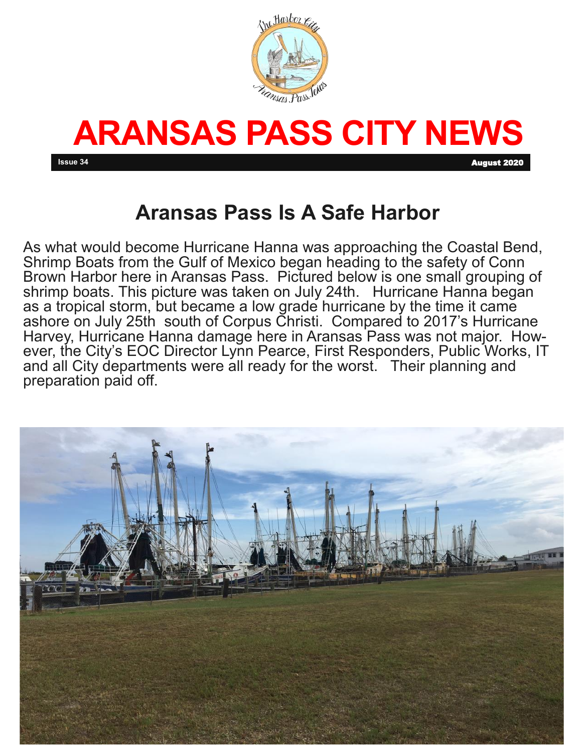



**Issue 34** August 2020

## **Aransas Pass Is A Safe Harbor**

As what would become Hurricane Hanna was approaching the Coastal Bend, Shrimp Boats from the Gulf of Mexico began heading to the safety of Conn Brown Harbor here in Aransas Pass. Pictured below is one small grouping of shrimp boats. This picture was taken on July 24th. Hurricane Hanna began as a tropical storm, but became a low grade hurricane by the time it came ashore on July 25th south of Corpus Christi. Compared to 2017's Hurricane Harvey, Hurricane Hanna damage here in Aransas Pass was not major. However, the City's EOC Director Lynn Pearce, First Responders, Public Works, IT and all City departments were all ready for the worst. Their planning and preparation paid off.

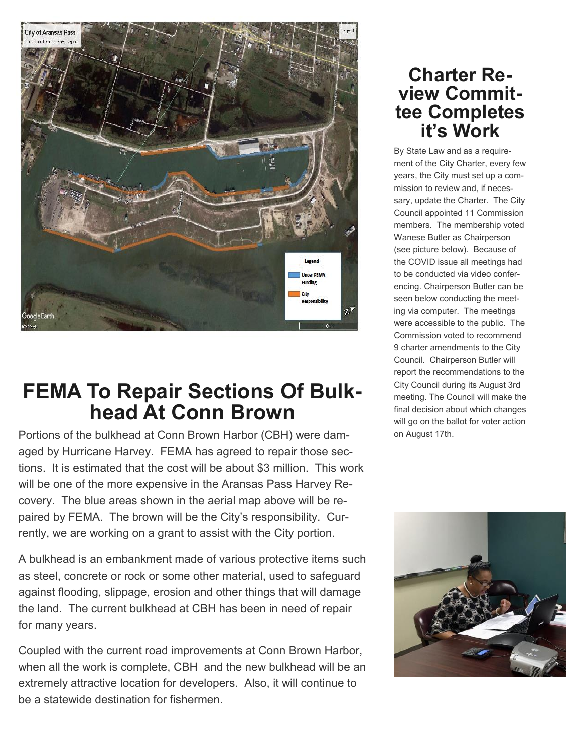

## **FEMA To Repair Sections Of Bulkhead At Conn Brown**

Portions of the bulkhead at Conn Brown Harbor (CBH) were damaged by Hurricane Harvey. FEMA has agreed to repair those sections. It is estimated that the cost will be about \$3 million. This work will be one of the more expensive in the Aransas Pass Harvey Recovery. The blue areas shown in the aerial map above will be repaired by FEMA. The brown will be the City's responsibility. Currently, we are working on a grant to assist with the City portion.

A bulkhead is an embankment made of various protective items such as steel, concrete or rock or some other material, used to safeguard against flooding, slippage, erosion and other things that will damage the land. The current bulkhead at CBH has been in need of repair for many years.

Coupled with the current road improvements at Conn Brown Harbor, when all the work is complete, CBH and the new bulkhead will be an extremely attractive location for developers. Also, it will continue to be a statewide destination for fishermen.

### **Charter Review Committee Completes it's Work**

By State Law and as a requirement of the City Charter, every few years, the City must set up a commission to review and, if necessary, update the Charter. The City Council appointed 11 Commission members. The membership voted Wanese Butler as Chairperson (see picture below). Because of the COVID issue all meetings had to be conducted via video conferencing. Chairperson Butler can be seen below conducting the meeting via computer. The meetings were accessible to the public. The Commission voted to recommend 9 charter amendments to the City Council. Chairperson Butler will report the recommendations to the City Council during its August 3rd meeting. The Council will make the final decision about which changes will go on the ballot for voter action on August 17th.

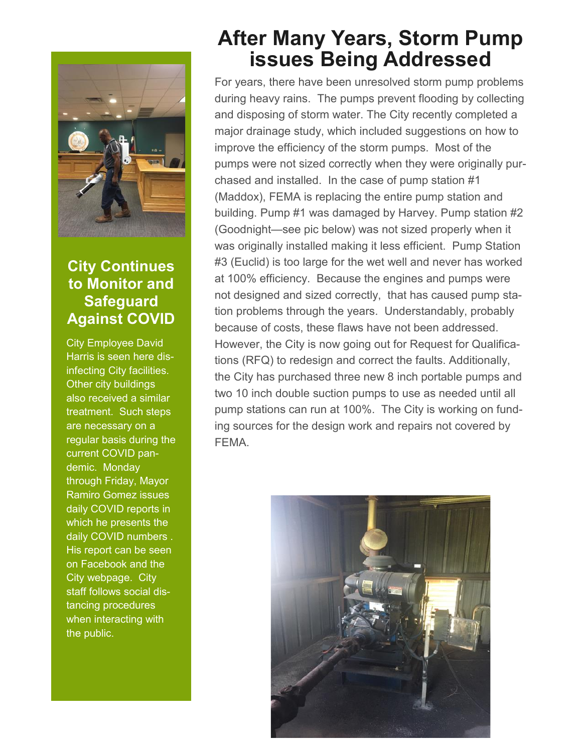

#### **City Continues to Monitor and Safeguard Against COVID**

City Employee David Harris is seen here disinfecting City facilities. Other city buildings also received a similar treatment. Such steps are necessary on a regular basis during the current COVID pandemic. Monday through Friday, Mayor Ramiro Gomez issues daily COVID reports in which he presents the daily COVID numbers . His report can be seen on Facebook and the City webpage. City staff follows social distancing procedures when interacting with the public.

## **After Many Years, Storm Pump issues Being Addressed**

For years, there have been unresolved storm pump problems during heavy rains. The pumps prevent flooding by collecting and disposing of storm water. The City recently completed a major drainage study, which included suggestions on how to improve the efficiency of the storm pumps. Most of the pumps were not sized correctly when they were originally purchased and installed. In the case of pump station #1 (Maddox), FEMA is replacing the entire pump station and building. Pump #1 was damaged by Harvey. Pump station #2 (Goodnight—see pic below) was not sized properly when it was originally installed making it less efficient. Pump Station #3 (Euclid) is too large for the wet well and never has worked at 100% efficiency. Because the engines and pumps were not designed and sized correctly, that has caused pump station problems through the years. Understandably, probably because of costs, these flaws have not been addressed. However, the City is now going out for Request for Qualifications (RFQ) to redesign and correct the faults. Additionally, the City has purchased three new 8 inch portable pumps and two 10 inch double suction pumps to use as needed until all pump stations can run at 100%. The City is working on funding sources for the design work and repairs not covered by FEMA.